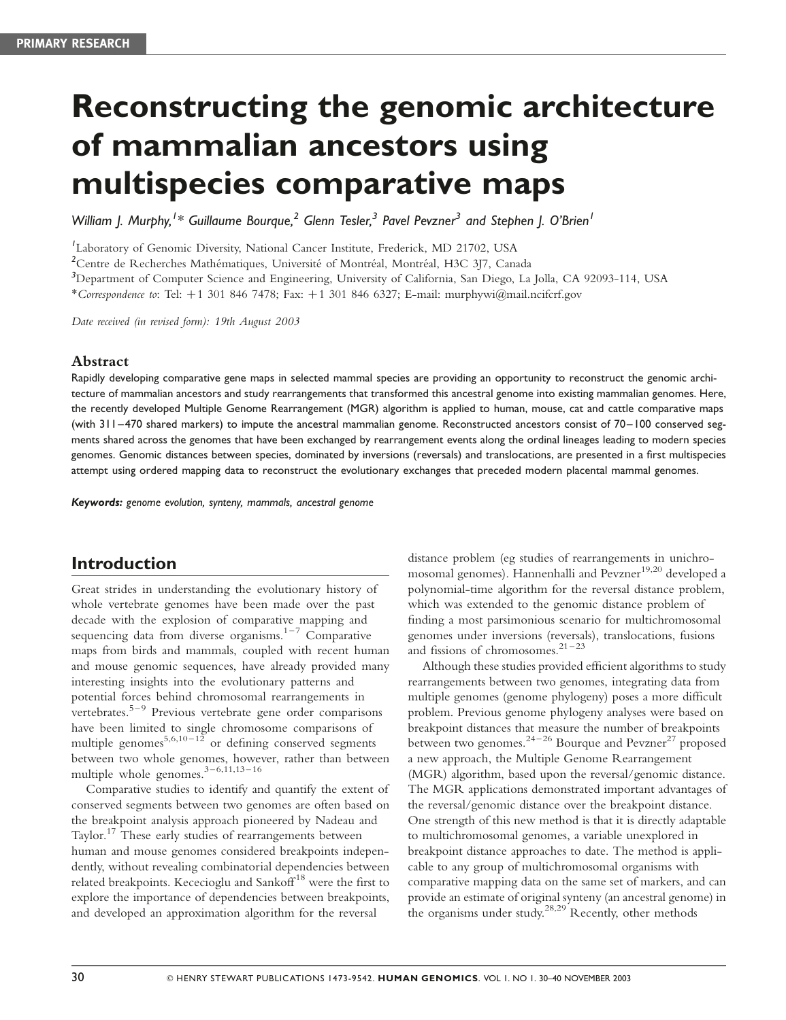# Reconstructing the genomic architecture of mammalian ancestors using multispecies comparative maps

William J. Murphy,  $^{\prime\ast}$  Guillaume Bourque, $^2$  Glenn Tesler, $^3$  Pavel Pevzner $^3$  and Stephen J. O'Brien $^{\prime}$ 

1 Laboratory of Genomic Diversity, National Cancer Institute, Frederick, MD 21702, USA

<sup>2</sup>Centre de Recherches Mathématiques, Université of Montréal, Montréal, H3C 3J7, Canada

<sup>3</sup>Department of Computer Science and Engineering, University of California, San Diego, La Jolla, CA 92093-114, USA

\*Correspondence to: Tel: þ1 301 846 7478; Fax: þ1 301 846 6327; E-mail: murphywi@mail.ncifcrf.gov

Date received (in revised form): 19th August 2003

#### Abstract

Rapidly developing comparative gene maps in selected mammal species are providing an opportunity to reconstruct the genomic architecture of mammalian ancestors and study rearrangements that transformed this ancestral genome into existing mammalian genomes. Here, the recently developed Multiple Genome Rearrangement (MGR) algorithm is applied to human, mouse, cat and cattle comparative maps (with 311–470 shared markers) to impute the ancestral mammalian genome. Reconstructed ancestors consist of 70–100 conserved segments shared across the genomes that have been exchanged by rearrangement events along the ordinal lineages leading to modern species genomes. Genomic distances between species, dominated by inversions (reversals) and translocations, are presented in a first multispecies attempt using ordered mapping data to reconstruct the evolutionary exchanges that preceded modern placental mammal genomes.

Keywords: genome evolution, synteny, mammals, ancestral genome

## Introduction

Great strides in understanding the evolutionary history of whole vertebrate genomes have been made over the past decade with the explosion of comparative mapping and sequencing data from diverse organisms.<sup>1–7</sup> Comparative maps from birds and mammals, coupled with recent human and mouse genomic sequences, have already provided many interesting insights into the evolutionary patterns and potential forces behind chromosomal rearrangements in vertebrates.5–9 Previous vertebrate gene order comparisons have been limited to single chromosome comparisons of multiple genomes<sup>5,6,10-12</sup> or defining conserved segments between two whole genomes, however, rather than between multiple whole genomes. $3-6,11,13-16$ 

Comparative studies to identify and quantify the extent of conserved segments between two genomes are often based on the breakpoint analysis approach pioneered by Nadeau and Taylor.<sup>17</sup> These early studies of rearrangements between human and mouse genomes considered breakpoints independently, without revealing combinatorial dependencies between related breakpoints. Kececioglu and Sankoff<sup>18</sup> were the first to explore the importance of dependencies between breakpoints, and developed an approximation algorithm for the reversal

distance problem (eg studies of rearrangements in unichromosomal genomes). Hannenhalli and Pevzner<sup>19,20</sup> developed a polynomial-time algorithm for the reversal distance problem, which was extended to the genomic distance problem of finding a most parsimonious scenario for multichromosomal genomes under inversions (reversals), translocations, fusions and fissions of chromosomes. $21-23$ 

Although these studies provided efficient algorithms to study rearrangements between two genomes, integrating data from multiple genomes (genome phylogeny) poses a more difficult problem. Previous genome phylogeny analyses were based on breakpoint distances that measure the number of breakpoints between two genomes. $24-26$  Bourque and Pevzner<sup>27</sup> proposed a new approach, the Multiple Genome Rearrangement (MGR) algorithm, based upon the reversal/genomic distance. The MGR applications demonstrated important advantages of the reversal/genomic distance over the breakpoint distance. One strength of this new method is that it is directly adaptable to multichromosomal genomes, a variable unexplored in breakpoint distance approaches to date. The method is applicable to any group of multichromosomal organisms with comparative mapping data on the same set of markers, and can provide an estimate of original synteny (an ancestral genome) in the organisms under study.<sup>28,29</sup> Recently, other methods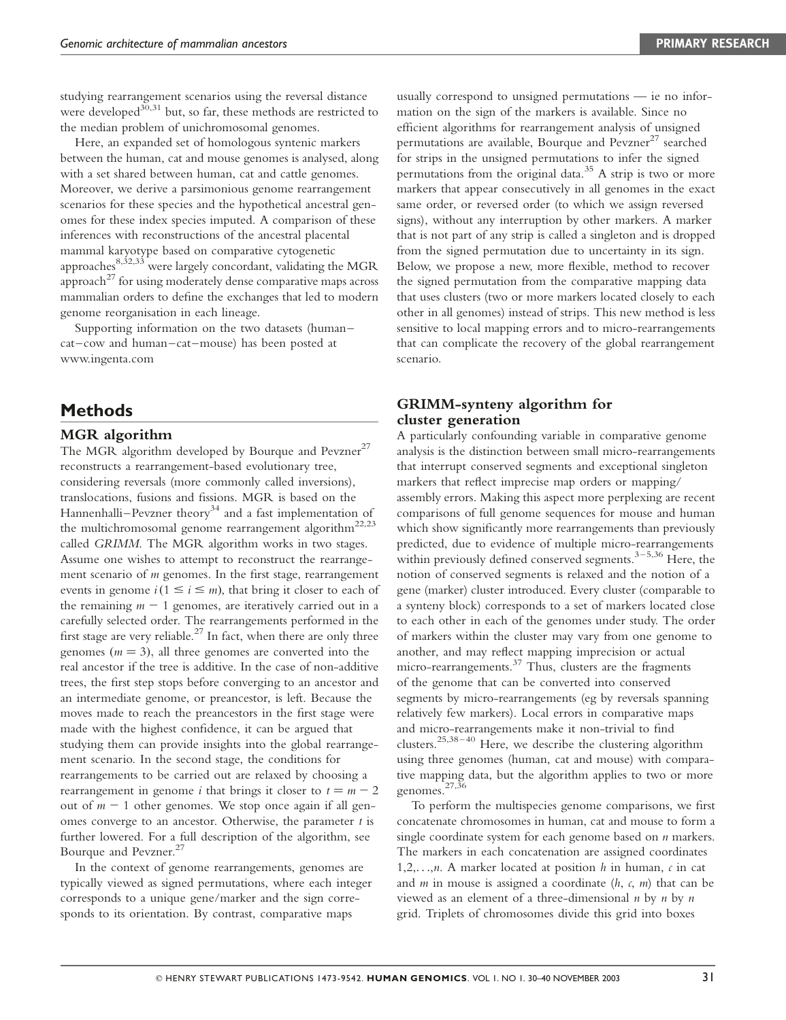studying rearrangement scenarios using the reversal distance were developed $30,31$  but, so far, these methods are restricted to the median problem of unichromosomal genomes.

Here, an expanded set of homologous syntenic markers between the human, cat and mouse genomes is analysed, along with a set shared between human, cat and cattle genomes. Moreover, we derive a parsimonious genome rearrangement scenarios for these species and the hypothetical ancestral genomes for these index species imputed. A comparison of these inferences with reconstructions of the ancestral placental mammal karyotype based on comparative cytogenetic approaches  $8,32,33$  were largely concordant, validating the MGR  $\alpha$ approach<sup>27</sup> for using moderately dense comparative maps across mammalian orders to define the exchanges that led to modern genome reorganisation in each lineage.

Supporting information on the two datasets (human– cat–cow and human–cat–mouse) has been posted at www.ingenta.com

## **Methods**

## MGR algorithm

The MGR algorithm developed by Bourque and Pevzner<sup>27</sup> reconstructs a rearrangement-based evolutionary tree, considering reversals (more commonly called inversions), translocations, fusions and fissions. MGR is based on the Hannenhalli–Pevzner theory<sup>34</sup> and a fast implementation of the multichromosomal genome rearrangement algorithm<sup>22,23</sup> called GRIMM. The MGR algorithm works in two stages. Assume one wishes to attempt to reconstruct the rearrangement scenario of *m* genomes. In the first stage, rearrangement events in genome  $i(1 \le i \le m)$ , that bring it closer to each of the remaining  $m - 1$  genomes, are iteratively carried out in a carefully selected order. The rearrangements performed in the first stage are very reliable.<sup>27</sup> In fact, when there are only three genomes  $(m = 3)$ , all three genomes are converted into the real ancestor if the tree is additive. In the case of non-additive trees, the first step stops before converging to an ancestor and an intermediate genome, or preancestor, is left. Because the moves made to reach the preancestors in the first stage were made with the highest confidence, it can be argued that studying them can provide insights into the global rearrangement scenario. In the second stage, the conditions for rearrangements to be carried out are relaxed by choosing a rearrangement in genome *i* that brings it closer to  $t = m - 2$ out of  $m - 1$  other genomes. We stop once again if all genomes converge to an ancestor. Otherwise, the parameter  $t$  is further lowered. For a full description of the algorithm, see Bourque and Pevzner.<sup>27</sup>

In the context of genome rearrangements, genomes are typically viewed as signed permutations, where each integer corresponds to a unique gene/marker and the sign corresponds to its orientation. By contrast, comparative maps

usually correspond to unsigned permutations — ie no information on the sign of the markers is available. Since no efficient algorithms for rearrangement analysis of unsigned permutations are available, Bourque and Pevzner<sup>27</sup> searched for strips in the unsigned permutations to infer the signed permutations from the original data.<sup>35</sup> A strip is two or more markers that appear consecutively in all genomes in the exact same order, or reversed order (to which we assign reversed signs), without any interruption by other markers. A marker that is not part of any strip is called a singleton and is dropped from the signed permutation due to uncertainty in its sign. Below, we propose a new, more flexible, method to recover the signed permutation from the comparative mapping data that uses clusters (two or more markers located closely to each other in all genomes) instead of strips. This new method is less sensitive to local mapping errors and to micro-rearrangements that can complicate the recovery of the global rearrangement scenario.

#### GRIMM-synteny algorithm for cluster generation

A particularly confounding variable in comparative genome analysis is the distinction between small micro-rearrangements that interrupt conserved segments and exceptional singleton markers that reflect imprecise map orders or mapping/ assembly errors. Making this aspect more perplexing are recent comparisons of full genome sequences for mouse and human which show significantly more rearrangements than previously predicted, due to evidence of multiple micro-rearrangements within previously defined conserved segments. $3-5,36$  Here, the notion of conserved segments is relaxed and the notion of a gene (marker) cluster introduced. Every cluster (comparable to a synteny block) corresponds to a set of markers located close to each other in each of the genomes under study. The order of markers within the cluster may vary from one genome to another, and may reflect mapping imprecision or actual micro-rearrangements.<sup>37</sup> Thus, clusters are the fragments of the genome that can be converted into conserved segments by micro-rearrangements (eg by reversals spanning relatively few markers). Local errors in comparative maps and micro-rearrangements make it non-trivial to find clusters.25,38–40 Here, we describe the clustering algorithm using three genomes (human, cat and mouse) with comparative mapping data, but the algorithm applies to two or more genomes. $27,36$ 

To perform the multispecies genome comparisons, we first concatenate chromosomes in human, cat and mouse to form a single coordinate system for each genome based on  $n$  markers. The markers in each concatenation are assigned coordinates 1,2,...,*n*. A marker located at position h in human,  $\epsilon$  in cat and  $m$  in mouse is assigned a coordinate  $(h, c, m)$  that can be viewed as an element of a three-dimensional  $n$  by  $n$  by  $n$ grid. Triplets of chromosomes divide this grid into boxes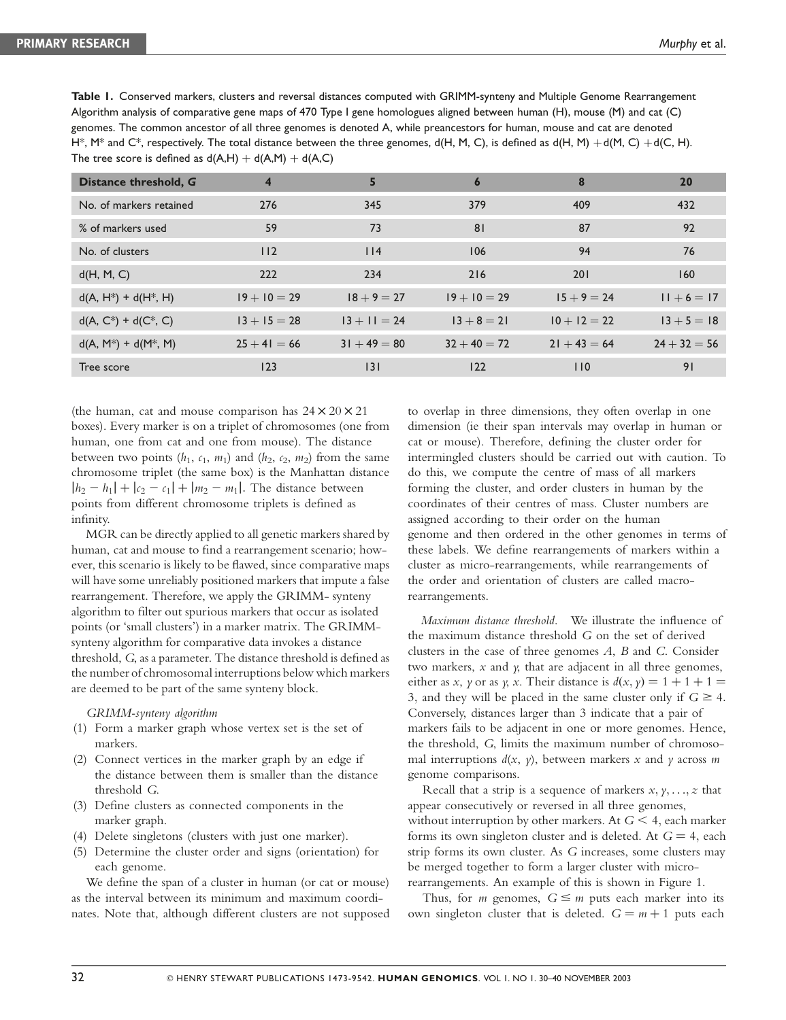Table 1. Conserved markers, clusters and reversal distances computed with GRIMM-synteny and Multiple Genome Rearrangement Algorithm analysis of comparative gene maps of 470 Type I gene homologues aligned between human (H), mouse (M) and cat (C) genomes. The common ancestor of all three genomes is denoted A, while preancestors for human, mouse and cat are denoted H<sup>\*</sup>, M<sup>\*</sup> and C<sup>\*</sup>, respectively. The total distance between the three genomes, d(H, M, C), is defined as d(H, M) +d(M, C) +d(C, H). The tree score is defined as  $d(A,H) + d(A,M) + d(A,C)$ 

| Distance threshold, G   | $\overline{\mathbf{4}}$ | 5              | $\boldsymbol{6}$ | 8              | <b>20</b>      |
|-------------------------|-------------------------|----------------|------------------|----------------|----------------|
| No. of markers retained | 276                     | 345            | 379              | 409            | 432            |
| % of markers used       | 59                      | 73             | 81               | 87             | 92             |
| No. of clusters         | 112                     | $ $  4         | 106              | 94             | 76             |
| d(H, M, C)              | 222                     | 234            | 216              | 201            | 160            |
| $d(A, H^*) + d(H^*, H)$ | $19 + 10 = 29$          | $18 + 9 = 27$  | $19 + 10 = 29$   | $15 + 9 = 24$  | $11 + 6 = 17$  |
| $d(A, C^*) + d(C^*, C)$ | $13 + 15 = 28$          | $ 3 + 1  = 24$ | $13 + 8 = 21$    | $10 + 12 = 22$ | $13 + 5 = 18$  |
| $d(A, M^*) + d(M^*, M)$ | $25 + 41 = 66$          | $31 + 49 = 80$ | $32 + 40 = 72$   | $21 + 43 = 64$ | $24 + 32 = 56$ |
| Tree score              | 123                     | 3              | 122              | 110            | 91             |

(the human, cat and mouse comparison has  $24 \times 20 \times 21$ boxes). Every marker is on a triplet of chromosomes (one from human, one from cat and one from mouse). The distance between two points  $(h_1, c_1, m_1)$  and  $(h_2, c_2, m_2)$  from the same chromosome triplet (the same box) is the Manhattan distance  $|h_2 - h_1| + |c_2 - c_1| + |m_2 - m_1|$ . The distance between points from different chromosome triplets is defined as infinity.

MGR can be directly applied to all genetic markers shared by human, cat and mouse to find a rearrangement scenario; however, this scenario is likely to be flawed, since comparative maps will have some unreliably positioned markers that impute a false rearrangement. Therefore, we apply the GRIMM- synteny algorithm to filter out spurious markers that occur as isolated points (or 'small clusters') in a marker matrix. The GRIMMsynteny algorithm for comparative data invokes a distance threshold, G, as a parameter. The distance threshold is defined as the number of chromosomal interruptions below which markers are deemed to be part of the same synteny block.

GRIMM-synteny algorithm

- (1) Form a marker graph whose vertex set is the set of markers.
- (2) Connect vertices in the marker graph by an edge if the distance between them is smaller than the distance threshold G.
- (3) Define clusters as connected components in the marker graph.
- (4) Delete singletons (clusters with just one marker).
- (5) Determine the cluster order and signs (orientation) for each genome.

We define the span of a cluster in human (or cat or mouse) as the interval between its minimum and maximum coordinates. Note that, although different clusters are not supposed to overlap in three dimensions, they often overlap in one dimension (ie their span intervals may overlap in human or cat or mouse). Therefore, defining the cluster order for intermingled clusters should be carried out with caution. To do this, we compute the centre of mass of all markers forming the cluster, and order clusters in human by the coordinates of their centres of mass. Cluster numbers are assigned according to their order on the human genome and then ordered in the other genomes in terms of these labels. We define rearrangements of markers within a cluster as micro-rearrangements, while rearrangements of the order and orientation of clusters are called macrorearrangements.

Maximum distance threshold. We illustrate the influence of the maximum distance threshold G on the set of derived clusters in the case of three genomes  $A$ ,  $B$  and  $C$ . Consider two markers,  $x$  and  $y$ , that are adjacent in all three genomes, either as x, y or as y, x. Their distance is  $d(x, y) = 1 + 1 + 1 =$ 3, and they will be placed in the same cluster only if  $G \geq 4$ . Conversely, distances larger than 3 indicate that a pair of markers fails to be adjacent in one or more genomes. Hence, the threshold, G, limits the maximum number of chromosomal interruptions  $d(x, y)$ , between markers x and y across m genome comparisons.

Recall that a strip is a sequence of markers  $x, y, \ldots, z$  that appear consecutively or reversed in all three genomes, without interruption by other markers. At  $G \leq 4$ , each marker forms its own singleton cluster and is deleted. At  $G = 4$ , each strip forms its own cluster. As G increases, some clusters may be merged together to form a larger cluster with microrearrangements. An example of this is shown in Figure 1.

Thus, for *m* genomes,  $G \leq m$  puts each marker into its own singleton cluster that is deleted.  $G = m + 1$  puts each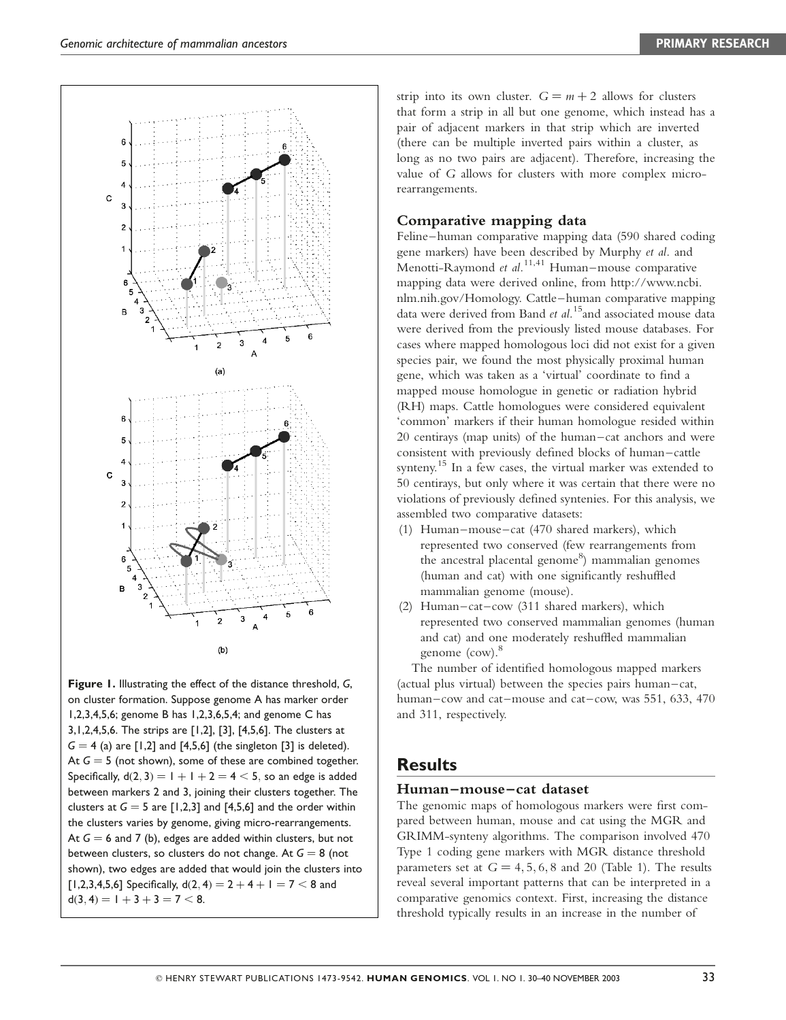

Figure 1. Illustrating the effect of the distance threshold, G, on cluster formation. Suppose genome A has marker order 1,2,3,4,5,6; genome B has 1,2,3,6,5,4; and genome C has 3,1,2,4,5,6. The strips are [1,2], [3], [4,5,6]. The clusters at  $G = 4$  (a) are [1,2] and [4,5,6] (the singleton [3] is deleted). At  $G = 5$  (not shown), some of these are combined together. Specifically,  $d(2, 3) = 1 + 1 + 2 = 4 < 5$ , so an edge is added between markers 2 and 3, joining their clusters together. The clusters at  $G = 5$  are [1,2,3] and [4,5,6] and the order within the clusters varies by genome, giving micro-rearrangements. At  $G = 6$  and 7 (b), edges are added within clusters, but not between clusters, so clusters do not change. At  $G = 8$  (not shown), two edges are added that would join the clusters into [1,2,3,4,5,6] Specifically,  $d(2, 4) = 2 + 4 + 1 = 7 < 8$  and  $d(3, 4) = 1 + 3 + 3 = 7 < 8.$ 

strip into its own cluster.  $G = m + 2$  allows for clusters that form a strip in all but one genome, which instead has a pair of adjacent markers in that strip which are inverted (there can be multiple inverted pairs within a cluster, as long as no two pairs are adjacent). Therefore, increasing the value of G allows for clusters with more complex microrearrangements.

## Comparative mapping data

Feline–human comparative mapping data (590 shared coding gene markers) have been described by Murphy et al. and Menotti-Raymond et al.<sup>11,41</sup> Human–mouse comparative mapping data were derived online, from http://www.ncbi. nlm.nih.gov/Homology. Cattle–human comparative mapping data were derived from Band et al.<sup>15</sup>and associated mouse data were derived from the previously listed mouse databases. For cases where mapped homologous loci did not exist for a given species pair, we found the most physically proximal human gene, which was taken as a 'virtual' coordinate to find a mapped mouse homologue in genetic or radiation hybrid (RH) maps. Cattle homologues were considered equivalent 'common' markers if their human homologue resided within 20 centirays (map units) of the human–cat anchors and were consistent with previously defined blocks of human–cattle synteny.<sup>15</sup> In a few cases, the virtual marker was extended to 50 centirays, but only where it was certain that there were no violations of previously defined syntenies. For this analysis, we assembled two comparative datasets:

- (1) Human–mouse–cat (470 shared markers), which represented two conserved (few rearrangements from the ancestral placental genome<sup>8</sup>) mammalian genomes (human and cat) with one significantly reshuffled mammalian genome (mouse).
- (2) Human–cat–cow (311 shared markers), which represented two conserved mammalian genomes (human and cat) and one moderately reshuffled mammalian genome (cow).<sup>8</sup>

The number of identified homologous mapped markers (actual plus virtual) between the species pairs human–cat, human–cow and cat–mouse and cat–cow, was 551, 633, 470 and 311, respectively.

## **Results**

### Human–mouse–cat dataset

The genomic maps of homologous markers were first compared between human, mouse and cat using the MGR and GRIMM-synteny algorithms. The comparison involved 470 Type 1 coding gene markers with MGR distance threshold parameters set at  $G = 4, 5, 6, 8$  and 20 (Table 1). The results reveal several important patterns that can be interpreted in a comparative genomics context. First, increasing the distance threshold typically results in an increase in the number of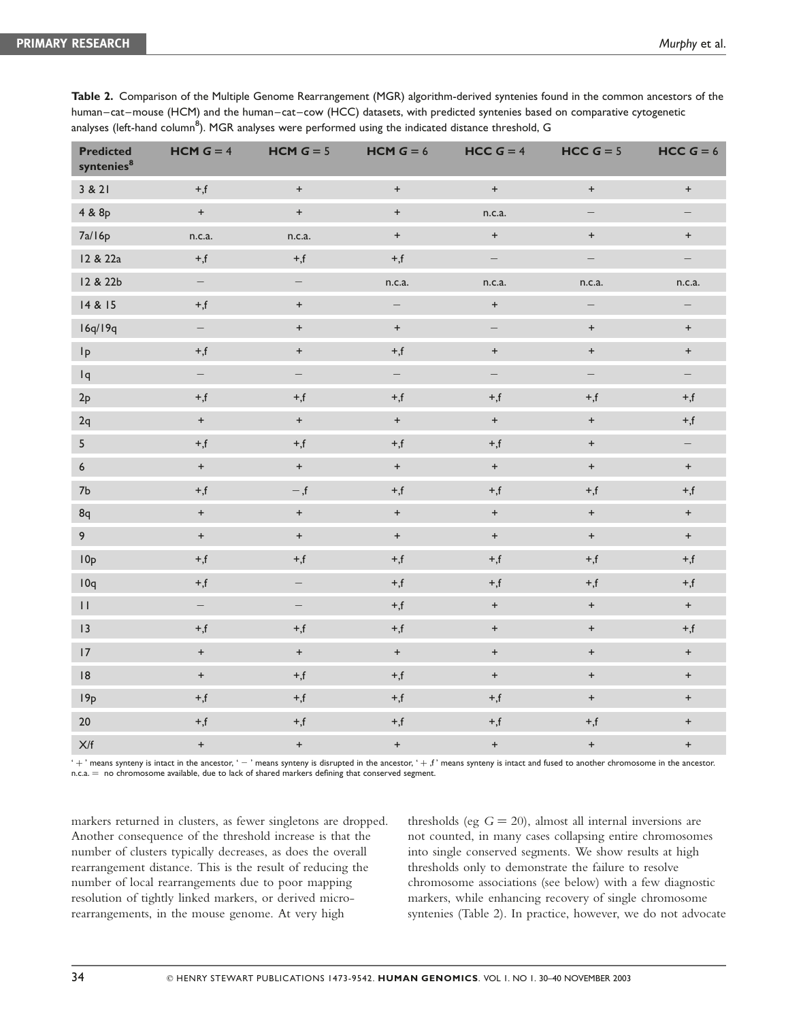| <b>Predicted</b><br>syntenies <sup>8</sup> | HCM $G = 4$                      | HCM $G = 5$              | HCM $G = 6$              | HCC $G = 4$                      | HCC $G = 5$                      | HCC $G = 6$                      |
|--------------------------------------------|----------------------------------|--------------------------|--------------------------|----------------------------------|----------------------------------|----------------------------------|
| 3 & 21                                     | $+, f$                           | $+$                      | $+$                      | $+$                              | $+$                              | $+$                              |
| 4 & 8p                                     | $+$                              | $\pm$                    | $+$                      | n.c.a.                           | $\overline{\phantom{0}}$         | $\overline{\phantom{0}}$         |
| 7a/16p                                     | n.c.a.                           | n.c.a.                   | $\pm$                    | $\ddot{}$                        | $\pm$                            | $\boldsymbol{+}$                 |
| 12 & 22a                                   | $+, f$                           | $+, f$                   | $+, f$                   | $\overline{\phantom{m}}$         | $\overline{\phantom{0}}$         | $-$                              |
| 12 & 22b                                   | $\equiv$                         | $\overline{\phantom{0}}$ | n.c.a.                   | n.c.a.                           | n.c.a.                           | n.c.a.                           |
| 14 & 15                                    | $+, f$                           | $\boldsymbol{+}$         | $\overline{\phantom{0}}$ | $\begin{array}{c} + \end{array}$ | $\overline{\phantom{0}}$         | $\qquad \qquad -$                |
| 16q/19q                                    | $\overline{\phantom{0}}$         | $\pm$                    | $^+$                     | $\overline{\phantom{m}}$         | $\pm$                            | $\pm$                            |
| 1p                                         | $+, f$                           | $+$                      | $+, f$                   | $\begin{array}{c} + \end{array}$ | $+$                              | $\boldsymbol{+}$                 |
| q                                          | $\overline{\phantom{0}}$         | $\overline{\phantom{0}}$ | $\overline{\phantom{0}}$ | $\overline{\phantom{0}}$         | $\overline{\phantom{0}}$         | $\qquad \qquad -$                |
| 2p                                         | $+, f$                           | $+, f$                   | $+, f$                   | $+, f$                           | $+, f$                           | $+, f$                           |
| 2q                                         | $\pm$                            | $\pm$                    | $\pm$                    | $^+$                             | $^+$                             | $+, f$                           |
| 5 <sub>1</sub>                             | $+, f$                           | $+, f$                   | $+, f$                   | $+, f$                           | $+$                              | $\overline{\phantom{0}}$         |
| $6\overline{6}$                            | $+$                              | $\pm$                    | $+$                      | $\begin{array}{c} + \end{array}$ | $+$                              | $+$                              |
| 7 <sub>b</sub>                             | $+, f$                           | $-$ ,f                   | $+, f$                   | $+, f$                           | $+, f$                           | $+, f$                           |
| 8q                                         | $\pm$                            | $\pm$                    | $\pm$                    | $\pm$                            | $\pm$                            | $\pm$                            |
| 9                                          | $\pm$                            | $\pm$                    | $^+$                     | $+$                              | $\pm$                            | $\pm$                            |
| 10p                                        | $+, f$                           | $+, f$                   | $+, f$                   | $^{\rm +, f}$                    | $+, f$                           | $+, f$                           |
| 10q                                        | $+, f$                           | $\overline{\phantom{0}}$ | $+, f$                   | $+, f$                           | $+, f$                           | $+, f$                           |
| $\mathbf{H}$                               | $\overline{\phantom{0}}$         | $\overline{\phantom{0}}$ | $+, f$                   | $\begin{array}{c} + \end{array}$ | $^+$                             | $\pm$                            |
| 3                                          | $+, f$                           | $+, f$                   | $+, f$                   | $+$                              | $\pm$                            | $+, f$                           |
| 17                                         | $\pm$                            | $\pm$                    | $\pm$                    | $\boldsymbol{+}$                 | $+$                              | $\boldsymbol{+}$                 |
| 8                                          | $+$                              | $+, f$                   | $+, f$                   | $+$                              | $+$                              | $+$                              |
| 19p                                        | $+, f$                           | $+, f$                   | $+, f$                   | $+, f$                           | $+$                              | $\begin{array}{c} + \end{array}$ |
| $20\,$                                     | $+, f$                           | $+, f$                   | $+,f$                    | $+, f$                           | $+, f$                           | $\boldsymbol{+}$                 |
| X/f                                        | $\begin{array}{c} + \end{array}$ | $\boldsymbol{+}$         | $+$                      | $\boldsymbol{+}$                 | $\begin{array}{c} + \end{array}$ | $\begin{array}{c} + \end{array}$ |

Table 2. Comparison of the Multiple Genome Rearrangement (MGR) algorithm-derived syntenies found in the common ancestors of the human–cat–mouse (HCM) and the human–cat–cow (HCC) datasets, with predicted syntenies based on comparative cytogenetic analyses (left-hand column<sup>8</sup>). MGR analyses were performed using the indicated distance threshold, G

' + ' means synteny is intact in the ancestor, '  $-$  ' means synteny is disrupted in the ancestor, '  $+$ , f' means synteny is intact and fused to another chromosome in the ancestor.  $n.c.a. = no chromosome available, due to lack of shared markers defining that conserved segment.$ 

markers returned in clusters, as fewer singletons are dropped. Another consequence of the threshold increase is that the number of clusters typically decreases, as does the overall rearrangement distance. This is the result of reducing the number of local rearrangements due to poor mapping resolution of tightly linked markers, or derived microrearrangements, in the mouse genome. At very high

thresholds (eg  $G = 20$ ), almost all internal inversions are not counted, in many cases collapsing entire chromosomes into single conserved segments. We show results at high thresholds only to demonstrate the failure to resolve chromosome associations (see below) with a few diagnostic markers, while enhancing recovery of single chromosome syntenies (Table 2). In practice, however, we do not advocate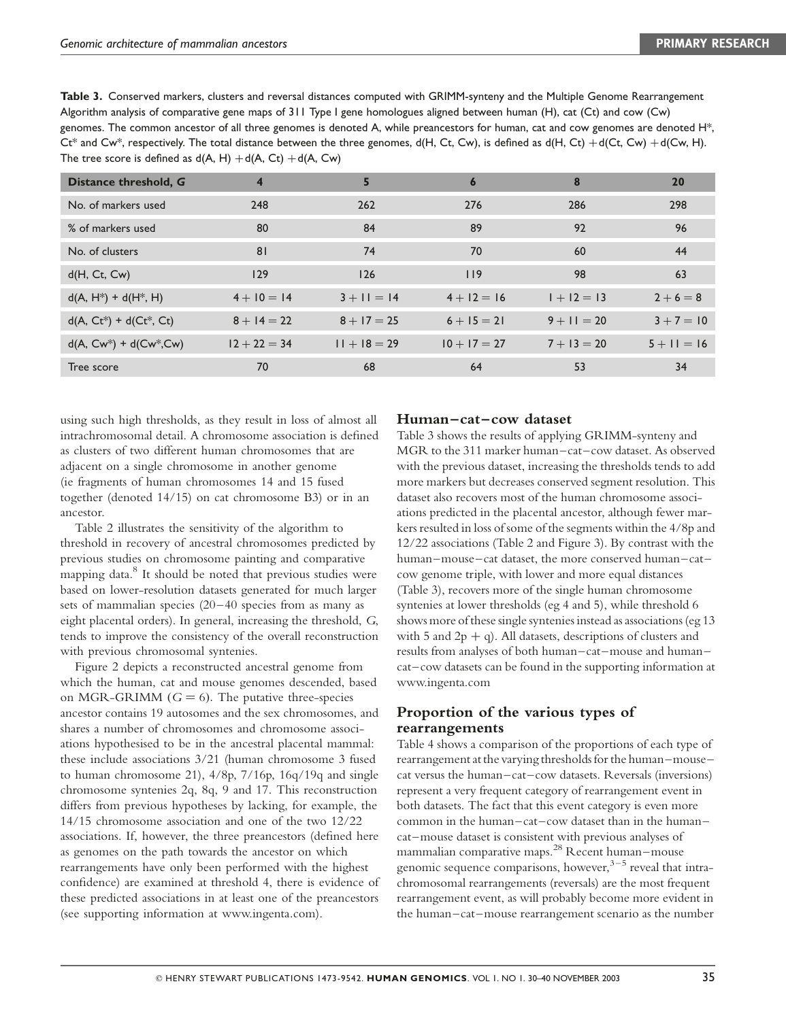Table 3. Conserved markers, clusters and reversal distances computed with GRIMM-synteny and the Multiple Genome Rearrangement Algorithm analysis of comparative gene maps of 311 Type I gene homologues aligned between human (H), cat (Ct) and cow (Cw) genomes. The common ancestor of all three genomes is denoted A, while preancestors for human, cat and cow genomes are denoted H\*,  $Ct^*$  and Cw<sup>\*</sup>, respectively. The total distance between the three genomes, d(H, Ct, Cw), is defined as d(H, Ct) +d(Ct, Cw) +d(Cw, H). The tree score is defined as  $d(A, H) + d(A, Ct) + d(A, Cw)$ 

| Distance threshold, G      | $\boldsymbol{4}$ | 5              | 6              | 8             | 20            |
|----------------------------|------------------|----------------|----------------|---------------|---------------|
| No. of markers used        | 248              | 262            | 276            | 286           | 298           |
| % of markers used          | 80               | 84             | 89             | 92            | 96            |
| No. of clusters            | 81               | 74             | 70             | 60            | 44            |
| d(H, Ct, Cw)               | 129              | 126            | 119            | 98            | 63            |
| $d(A, H^*) + d(H^*, H)$    | $4 + 10 = 14$    | $3 + 11 = 14$  | $4 + 12 = 16$  | $1 + 12 = 13$ | $2+6=8$       |
| $d(A, Ct^*) + d(Ct^*, Ct)$ | $8 + 14 = 22$    | $8 + 17 = 25$  | $6 + 15 = 21$  | $9 + 11 = 20$ | $3 + 7 = 10$  |
| $d(A, Cw^*) + d(Cw^*.Cw)$  | $12 + 22 = 34$   | $11 + 18 = 29$ | $10 + 17 = 27$ | $7 + 13 = 20$ | $5 + 11 = 16$ |
| Tree score                 | 70               | 68             | 64             | 53            | 34            |

using such high thresholds, as they result in loss of almost all intrachromosomal detail. A chromosome association is defined as clusters of two different human chromosomes that are adjacent on a single chromosome in another genome (ie fragments of human chromosomes 14 and 15 fused together (denoted 14/15) on cat chromosome B3) or in an ancestor.

Table 2 illustrates the sensitivity of the algorithm to threshold in recovery of ancestral chromosomes predicted by previous studies on chromosome painting and comparative mapping data.<sup>8</sup> It should be noted that previous studies were based on lower-resolution datasets generated for much larger sets of mammalian species (20–40 species from as many as eight placental orders). In general, increasing the threshold, G, tends to improve the consistency of the overall reconstruction with previous chromosomal syntenies.

Figure 2 depicts a reconstructed ancestral genome from which the human, cat and mouse genomes descended, based on MGR-GRIMM  $(G = 6)$ . The putative three-species ancestor contains 19 autosomes and the sex chromosomes, and shares a number of chromosomes and chromosome associations hypothesised to be in the ancestral placental mammal: these include associations 3/21 (human chromosome 3 fused to human chromosome 21), 4/8p, 7/16p, 16q/19q and single chromosome syntenies 2q, 8q, 9 and 17. This reconstruction differs from previous hypotheses by lacking, for example, the 14/15 chromosome association and one of the two 12/22 associations. If, however, the three preancestors (defined here as genomes on the path towards the ancestor on which rearrangements have only been performed with the highest confidence) are examined at threshold 4, there is evidence of these predicted associations in at least one of the preancestors (see supporting information at www.ingenta.com).

#### Human–cat–cow dataset

Table 3 shows the results of applying GRIMM-synteny and MGR to the 311 marker human–cat–cow dataset. As observed with the previous dataset, increasing the thresholds tends to add more markers but decreases conserved segment resolution. This dataset also recovers most of the human chromosome associations predicted in the placental ancestor, although fewer markers resulted in loss of some of the segments within the 4/8p and 12/22 associations (Table 2 and Figure 3). By contrast with the human–mouse–cat dataset, the more conserved human–cat– cow genome triple, with lower and more equal distances (Table 3), recovers more of the single human chromosome syntenies at lower thresholds (eg 4 and 5), while threshold 6 shows more of these single syntenies instead as associations (eg 13 with 5 and  $2p + q$ ). All datasets, descriptions of clusters and results from analyses of both human–cat–mouse and human– cat–cow datasets can be found in the supporting information at www.ingenta.com

### Proportion of the various types of rearrangements

Table 4 shows a comparison of the proportions of each type of rearrangement at the varying thresholds for the human–mouse– cat versus the human–cat–cow datasets. Reversals (inversions) represent a very frequent category of rearrangement event in both datasets. The fact that this event category is even more common in the human–cat–cow dataset than in the human– cat–mouse dataset is consistent with previous analyses of mammalian comparative maps.<sup>28</sup> Recent human–mouse genomic sequence comparisons, however, $3-5$  reveal that intrachromosomal rearrangements (reversals) are the most frequent rearrangement event, as will probably become more evident in the human–cat–mouse rearrangement scenario as the number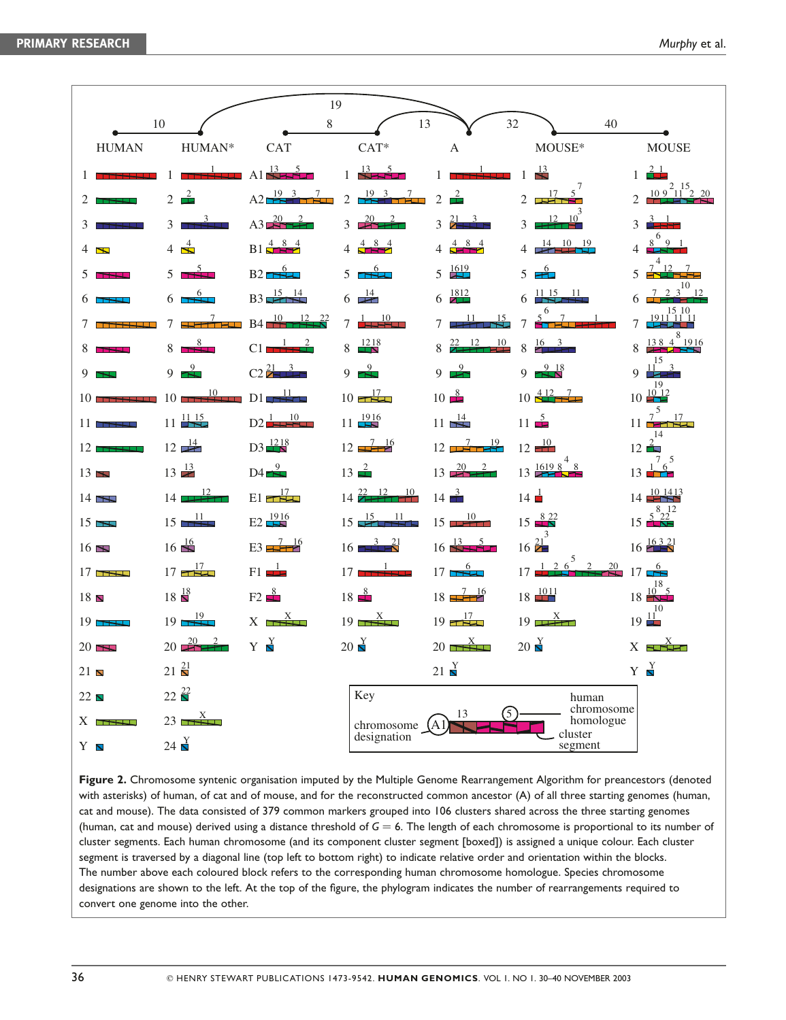|                          |                                   | 19                                                                                                                                                                                                                                                                                                                                                                                                             |                |                                                   |                 |                                    |                  |                                              |               |                                                                      |
|--------------------------|-----------------------------------|----------------------------------------------------------------------------------------------------------------------------------------------------------------------------------------------------------------------------------------------------------------------------------------------------------------------------------------------------------------------------------------------------------------|----------------|---------------------------------------------------|-----------------|------------------------------------|------------------|----------------------------------------------|---------------|----------------------------------------------------------------------|
|                          | 10                                | $8\,$                                                                                                                                                                                                                                                                                                                                                                                                          |                | 13                                                |                 |                                    | 32               | 40                                           |               |                                                                      |
| <b>HUMAN</b>             | HUMAN*                            | <b>CAT</b>                                                                                                                                                                                                                                                                                                                                                                                                     |                | $CAT*$                                            |                 | A                                  |                  | MOUSE*                                       |               | <b>MOUSE</b>                                                         |
| $\mathbf{1}$             | $\mathbf{1}$                      | $\frac{13}{\sqrt{11}}$ Al<br>$\frac{5}{1}$                                                                                                                                                                                                                                                                                                                                                                     | $\mathbf{1}$   | $\frac{13}{2}$                                    | 1               |                                    | $\mathbf{1}$     | $\frac{13}{2}$                               | $\mathbf{1}$  | $\frac{2}{1}$                                                        |
| 2                        | $\frac{2}{L}$<br>2 <sub>1</sub>   | $rac{19}{5}$<br>A2r                                                                                                                                                                                                                                                                                                                                                                                            | $\overline{2}$ | $\frac{19}{2}$<br>$\frac{3}{2}$                   | $\overline{c}$  |                                    | $\overline{2}$   | 3                                            | 2             | $\frac{2}{10}$ $\frac{15}{11}$ $\frac{2}{2}$<br>T E                  |
| 3                        | 3                                 | $A3\overline{20}$<br>$\overline{2}$                                                                                                                                                                                                                                                                                                                                                                            | $\mathcal{E}$  | 20                                                | 3               | κ                                  |                  | 12<br>10 <sup>7</sup>                        | $\mathcal{L}$ |                                                                      |
| $4 \n\blacksquare$       | $4\frac{4}{\sqrt{2}}$             | $B1\frac{4}{5}$ $\frac{8}{5}$ $\frac{4}{5}$                                                                                                                                                                                                                                                                                                                                                                    | $\overline{4}$ | $\frac{4}{\sqrt{}}$ $\frac{8}{\sqrt{}}$           | $\overline{4}$  | $\frac{4}{5}$ $\frac{8}{7}$        |                  | $\frac{14}{2}$ $\frac{10}{2}$ $\frac{19}{2}$ | 4             | 6<br>Q                                                               |
| 5                        | 5 <sub>1</sub>                    | $\frac{6}{1}$<br>B2                                                                                                                                                                                                                                                                                                                                                                                            | 5              | 6                                                 | 5               | 1619                               | 5                |                                              | 5             | 4                                                                    |
| 6                        | 6 1                               | $B3\frac{15}{12}$                                                                                                                                                                                                                                                                                                                                                                                              | 6              | $\frac{14}{2}$                                    | 6               | 1812                               | 6                | 11 15<br>11                                  | 6             | 10                                                                   |
| 7                        | $\tau$                            | $B4 \frac{10}{12}$<br>$\frac{22}{5}$                                                                                                                                                                                                                                                                                                                                                                           | $\tau$         | $\frac{10}{2}$                                    | 7               | $\frac{15}{2}$                     |                  | 6                                            | 7             | $\begin{array}{c} 15 & 10 \\ 19 & 11 & 11 \end{array}$               |
| 8                        | 8<br>8                            | C1                                                                                                                                                                                                                                                                                                                                                                                                             | 8              | 1218                                              | $\mathsf{R}$    | $10 -$<br>12                       | 8                | 16<br>$\mathcal{R}$                          | 8             | $1384^{8}$<br>1916                                                   |
| 9                        | 9                                 | $C2\frac{21}{7}$ $\frac{3}{7}$                                                                                                                                                                                                                                                                                                                                                                                 |                | $9 - \frac{9}{2}$                                 | 9               |                                    | 9 F              | $\frac{9}{18}$                               | 9             | $\begin{array}{c}\n15 \\ 11\n\end{array}$<br>$\overline{\mathbf{3}}$ |
| 10<br>iii 1229 A.Q       | $10 \frac{10}{10}$ D1             |                                                                                                                                                                                                                                                                                                                                                                                                                |                | $10 - \frac{17}{2}$                               |                 | $10\frac{8}{10}$                   |                  | $10\frac{412}{2}$<br>7                       |               | $10\frac{19}{10}$                                                    |
| 11 1                     | $11\frac{11}{11}$                 | $D2 \frac{1}{\sqrt{1-\frac{10}{\sqrt{1-\frac{10}{\sqrt{1-\frac{10}{\sqrt{1-\frac{10}{\sqrt{1-\frac{10}{\sqrt{1-\frac{10}{\sqrt{1-\frac{10}{\sqrt{1-\frac{10}{\sqrt{1-\frac{10}{\sqrt{1-\frac{10}{\sqrt{1-\frac{10}{\sqrt{1-\frac{10}{\sqrt{1-\frac{10}{\sqrt{1-\frac{10}{\sqrt{1-\frac{10}{\sqrt{1-\frac{10}{\sqrt{1-\frac{10}{\sqrt{1-\frac{10}{\sqrt{1-\frac{10}{\sqrt{1-\frac{10}{\sqrt{1-\frac{10}{\sqrt{$ | 11             | 1916                                              |                 | $11\frac{14}{2}$                   |                  | $11\frac{5}{2}$                              |               | 11 $\frac{7}{2}$                                                     |
| 12 <sub>1</sub>          | $12\frac{14}{2}$                  | $D3 \frac{1218}{9}$                                                                                                                                                                                                                                                                                                                                                                                            |                | $12 \frac{7}{10}$                                 |                 | $\frac{19}{2}$<br>$12\frac{7}{2}$  |                  | $12\frac{10}{2}$                             |               | 14<br>$12^{2}$                                                       |
| $13 \blacktriangleright$ | $13\frac{13}{2}$                  | $D4\frac{9}{2}$                                                                                                                                                                                                                                                                                                                                                                                                |                | $13\frac{2}{1}$                                   | 13E             | 20                                 |                  | $13\frac{16198}{2}$                          |               | 7 <sub>5</sub><br>$13\frac{1}{2}$                                    |
| $14 \blacktriangleright$ | $\frac{12}{2}$<br>14 <sub>1</sub> | E1                                                                                                                                                                                                                                                                                                                                                                                                             |                | $14\frac{22}{21} + \frac{12}{11} + \frac{10}{11}$ | 14 <sub>1</sub> |                                    | $14\frac{1}{2}$  |                                              |               | $14 \frac{10}{2}$                                                    |
| $15 \rightarrow$         | $15 \frac{11}{2}$                 | $E2\frac{1916}{1}$                                                                                                                                                                                                                                                                                                                                                                                             |                | $15\frac{15}{2}$<br><u> 11</u>                    |                 | $15 \frac{10}{2}$                  |                  | $15 \frac{822}{1}$                           |               | $5\frac{8}{22}^{12}$<br>$15$ $+$ $+$                                 |
| $16 \blacktriangleright$ | $16\frac{16}{5}$                  | $E3 = \frac{7}{10}$                                                                                                                                                                                                                                                                                                                                                                                            |                | $\mathcal{Z}^1$<br>$16 \frac{3}{2}$               |                 | $16 \frac{13}{2}$ 5                |                  | $16\frac{21}{4}$                             |               | $16\frac{16321}{2}$                                                  |
| 17                       | $17 - \frac{17}{2}$               | F1                                                                                                                                                                                                                                                                                                                                                                                                             |                | 17 <sub>1</sub>                                   | 17 <sub>c</sub> | 6                                  | 17               | $26^{5}$<br>$\overline{c}$<br>$-20$          |               | 6<br>$17$ $\rightarrow$                                              |
| $18\blacktriangleright$  | $18\frac{18}{9}$                  | $F2\frac{8}{5}$                                                                                                                                                                                                                                                                                                                                                                                                |                | $18\frac{8}{11}$                                  |                 | $18 \frac{7}{10}$                  |                  | $18\frac{1011}{ }$                           |               | 18<br>$18\frac{10}{2}$                                               |
| $19 \rightarrow$         | $19 \frac{19}{2}$                 | $X \begin{array}{c} X \\ \longrightarrow \end{array}$                                                                                                                                                                                                                                                                                                                                                          |                | $19 \frac{X}{12}$                                 |                 | $19 - \frac{17}{2}$                |                  | 19 $\frac{X}{1}$                             |               | 10<br>$19\frac{11}{2}$                                               |
| $20 \blacktriangleright$ | $20\frac{20}{2}$                  | $Y \times Y$                                                                                                                                                                                                                                                                                                                                                                                                   |                | $20\frac{Y}{\blacksquare}$                        |                 | $20 \rightarrow \frac{X}{X}$<br>۳. | $20\,\mathrm{N}$ |                                              |               | $X$ $\frac{X}{1}$                                                    |
| $21\,$                   | $21\frac{21}{5}$                  |                                                                                                                                                                                                                                                                                                                                                                                                                |                |                                                   |                 | $21\frac{Y}{\blacksquare}$         |                  |                                              | $Y \times Y$  |                                                                      |
| $22 \Delta$              | $22\frac{22}{5}$                  |                                                                                                                                                                                                                                                                                                                                                                                                                |                | Key                                               |                 |                                    |                  | human                                        |               |                                                                      |
| $X \rightarrow \bot$     | 23 $\overline{1}$                 |                                                                                                                                                                                                                                                                                                                                                                                                                |                | chromosome                                        |                 | 5<br>13                            |                  | chromosome<br>homologue                      |               |                                                                      |
| Y N                      | $24\sum_{ }^{\infty}$             |                                                                                                                                                                                                                                                                                                                                                                                                                |                | designation                                       |                 |                                    |                  | cluster<br>segment                           |               |                                                                      |

Figure 2. Chromosome syntenic organisation imputed by the Multiple Genome Rearrangement Algorithm for preancestors (denoted with asterisks) of human, of cat and of mouse, and for the reconstructed common ancestor (A) of all three starting genomes (human, cat and mouse). The data consisted of 379 common markers grouped into 106 clusters shared across the three starting genomes (human, cat and mouse) derived using a distance threshold of  $G = 6$ . The length of each chromosome is proportional to its number of cluster segments. Each human chromosome (and its component cluster segment [boxed]) is assigned a unique colour. Each cluster segment is traversed by a diagonal line (top left to bottom right) to indicate relative order and orientation within the blocks. The number above each coloured block refers to the corresponding human chromosome homologue. Species chromosome designations are shown to the left. At the top of the figure, the phylogram indicates the number of rearrangements required to convert one genome into the other.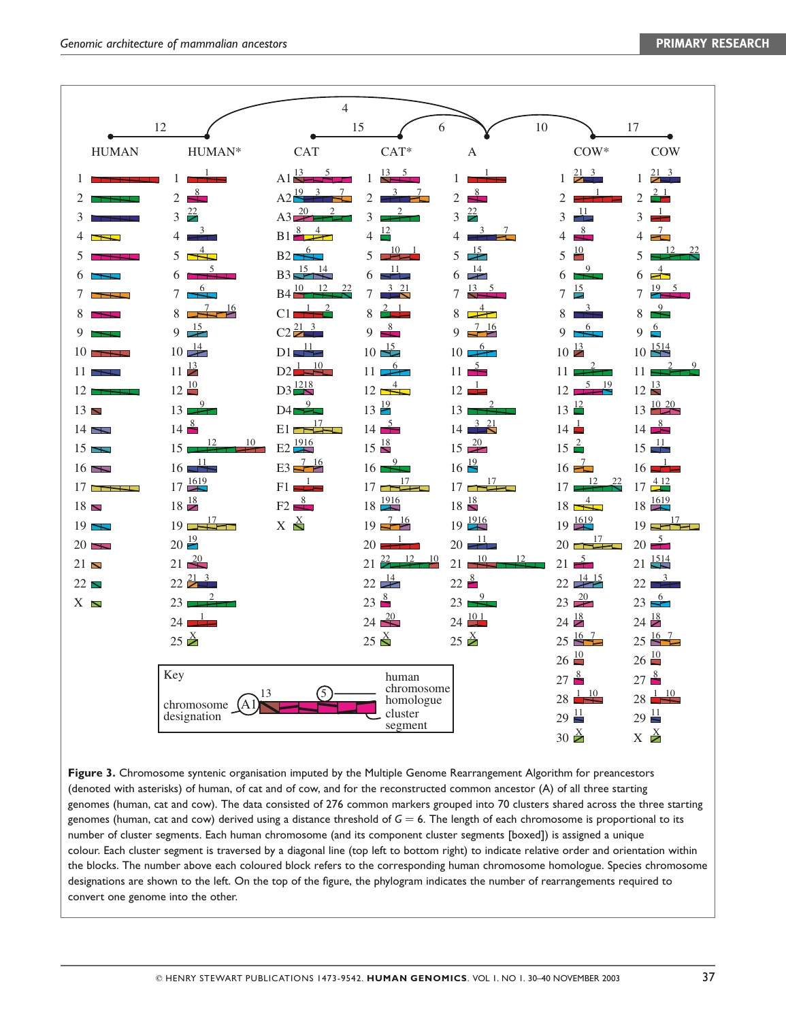|                                              |                                      | $\overline{4}$                                  |                                                      |                                                  |                                         |                                                       |
|----------------------------------------------|--------------------------------------|-------------------------------------------------|------------------------------------------------------|--------------------------------------------------|-----------------------------------------|-------------------------------------------------------|
|                                              | 12                                   |                                                 | 15<br>6                                              |                                                  | 10                                      | 17                                                    |
| <b>HUMAN</b>                                 | HUMAN*                               | <b>CAT</b>                                      | $CAT*$                                               | $\mathbf{A}$                                     | $COW*$                                  | <b>COW</b>                                            |
| $\mathbf{1}$                                 | $\frac{1}{2}$<br>$\mathbf{1}$        | $A1\frac{13}{2}$ 5                              | $\frac{13}{\sqrt{2}}$<br>1                           | $\mathbf{1}$                                     | $\frac{21}{2}$<br>$\mathbf{1}$          | $1\frac{21}{2}$                                       |
| 2                                            | $\frac{8}{2}$<br>$\mathfrak{D}$      | 3<br>$A2\frac{19}{2}$                           | 3<br>$\mathfrak{D}$                                  | $\frac{8}{2}$<br>$\overline{2}$                  | $\mathfrak{D}$<br>Ь                     | $\frac{21}{1}$<br>$\overline{2}$                      |
| 3                                            | $\overline{2}$<br>$\overline{3}$     | $A3\frac{20}{2}$                                | 3                                                    | $3\frac{22}{2}$                                  | $\frac{11}{1}$<br>3                     | $\frac{1}{\sqrt{2}}$<br>3                             |
| 4<br>Ī                                       | $\overline{\mathcal{L}}$             | $B1\frac{8}{2}$                                 | $^{12}$<br>$\overline{\mathcal{A}}$                  | 4                                                | $\frac{8}{1}$<br>4                      |                                                       |
| 5                                            | $5 \rightarrow$                      | 6<br>$B2 \rightarrow$                           | $\frac{10}{10}$<br>5                                 | $\frac{15}{2}$<br>5                              | $\frac{10}{2}$<br>5                     | 12<br>$\overline{\phantom{0}}$                        |
| 6                                            | 6 <sub>1</sub><br>6                  | $B3\frac{15}{2}$                                | $6\frac{11}{2}$                                      | $\frac{14}{2}$<br>6<br>-5                        | $\rightarrow$<br>6                      | $6\frac{4}{\pi}$<br>19<br>5                           |
| 7                                            | $\tau$                               | $B4\frac{10}{4}$<br>12<br>$\overline{22}$       | $\begin{array}{c} 3 & 21 \end{array}$<br>7           | 13<br>7                                          | $\frac{15}{2}$<br>$\tau$                | $\tau$                                                |
| 8                                            | $\frac{16}{1}$<br>8                  | $C1$ $\blacksquare$                             | 8                                                    | $\frac{4}{\sqrt{2}}$<br>8<br>$\frac{7}{16}$      | 8<br>$\frac{6}{1}$                      | $\frac{9}{2}$<br>8                                    |
| $\mathbf Q$                                  | $\frac{15}{2}$<br>$\mathbf Q$        | $C2\frac{21}{2}$                                | $\frac{8}{2}$<br>$\overline{Q}$<br>$10\frac{15}{2}$  | 9<br>6                                           | $\mathbf Q$                             | $\frac{6}{2}$<br>$\overline{Q}$<br>$10\frac{1514}{ }$ |
| 10<br><b>RESP</b>                            | $10\frac{14}{2}$<br>$11\frac{13}{2}$ | $D1 \frac{11}{2}$<br>$D2\frac{1}{\blacksquare}$ | $11\frac{6}{5}$                                      | $10\rightleftharpoons$                           | $10\frac{13}{2}$                        | 9                                                     |
| 11                                           | $12\frac{10}{2}$                     | D3 <sup>1218</sup>                              | $12 \rightleftharpoons$                              | $11\frac{5}{2}$<br>$12\frac{1}{2}$               | 11<br>$12\frac{5}{2}$<br>$\frac{19}{ }$ | 11 <sub>1</sub><br>$12\frac{13}{2}$                   |
| $12 \rightarrow$<br>$13 \blacktriangleright$ | 13 <sub>L</sub>                      | $D4\frac{9}{2}$                                 | $13\frac{19}{2}$                                     |                                                  | $13\frac{12}{2}$                        | $13 \frac{1020}{ }$                                   |
| $14 \blacktriangleright$                     | $14\frac{8}{9}$                      | E1<br>J.                                        | $\frac{5}{ }$<br>14 <sup>°</sup>                     | 13 <sub>1</sub><br>$\frac{3}{2}$<br>$14 \square$ | 14 <sup>1</sup>                         | $14\frac{8}{5}$                                       |
| $15 \blacktriangleright$                     | 10<br>12<br>15 <sub>L</sub>          | $E2\frac{1916}{4}$                              | $15\frac{18}{2}$                                     | $15\frac{20}{2}$                                 | 15 <sup>2</sup>                         | $15 \frac{11}{2}$                                     |
| $16 \blacktriangleright$                     | $16\frac{11}{2}$                     | $E3\frac{7}{2}$                                 | 9<br>$16 \rightarrow$                                | $16\frac{19}{6}$                                 | $16\frac{7}{2}$                         | $16\frac{1}{2}$                                       |
| $17 \rightarrow$                             | $17 \frac{1619}{ }$                  | $F1 \frac{1}{\sqrt{1-\frac{1}{2}}}$             | $17 \frac{17}{2}$                                    | $17 \frac{17}{2}$                                | 12<br>$\overline{22}$<br>17             | $17 \frac{412}{9}$                                    |
| $18 \blacktriangleright$                     | $18\frac{18}{2}$                     | $F2 \frac{8}{5}$                                | 18 $\frac{1916}{2}$                                  | $18\frac{18}{2}$                                 | $18 \frac{4}{\sqrt{25}}$                | $18\frac{1619}{ }$                                    |
| $19 \blacktriangleright$                     | $19 \frac{17}{2}$                    | $X \triangle$                                   | $19 - \frac{7}{2} = \frac{16}{2}$                    | $\frac{1916}{2}$<br>19                           | $\frac{1619}{2}$<br>19                  | $19 \frac{17}{2}$                                     |
| $20 \blacktriangleright$                     | $20\frac{19}{2}$                     |                                                 | $20 \frac{1}{2}$                                     | $20 - \frac{11}{2}$                              | $20 \frac{17}{2}$                       | $20\frac{5}{2}$                                       |
| $21\blacktriangleright$                      | $21\frac{20}{2}$                     |                                                 | $21\frac{22}{2}$<br>$\frac{12}{1}$<br>$\frac{10}{2}$ | $21 - \frac{10}{2}$<br>12                        | $21\frac{5}{2}$                         | $21\frac{1514}{2}$                                    |
| $22\triangleright$                           | $22\frac{21}{2}$                     |                                                 | $22\frac{14}{ }$                                     | $22\frac{8}{9}$                                  | $22\frac{14}{7}$                        | 3<br>221                                              |
| $X \nightharpoonup$                          | 231                                  |                                                 | 23 <sup>8</sup>                                      | $23 \rightarrow$                                 | $23\frac{20}{2}$                        | $23 - 6$                                              |
|                                              | 24L                                  |                                                 | $24 \frac{20}{2}$                                    | $24\frac{101}{ }$                                | $24\frac{18}{6}$                        | $24\frac{18}{2}$                                      |
|                                              | $25\frac{X}{2}$                      |                                                 | $25\frac{X}{2}$                                      | $25\frac{X}{2}$                                  | $25\frac{16}{2}$                        | $25\frac{16}{12}$                                     |
|                                              |                                      |                                                 |                                                      |                                                  | $26\frac{10}{2}$                        | $26\frac{10}{2}$                                      |
|                                              | Key                                  | $\overline{5}$                                  | human<br>chromosome                                  |                                                  | 27 <sup>8</sup>                         | 27 <sup>8</sup>                                       |
|                                              | chromosome                           |                                                 | homologue                                            |                                                  | $28\frac{110}{1}$                       | $28\frac{110}{1}$                                     |
|                                              | designation                          |                                                 | cluster<br>segment                                   |                                                  | $29 \frac{11}{2}$                       | $29\frac{11}{2}$                                      |
|                                              |                                      |                                                 |                                                      |                                                  | $30\frac{X}{2}$                         | $X \nightharpoonup X$                                 |

Figure 3. Chromosome syntenic organisation imputed by the Multiple Genome Rearrangement Algorithm for preancestors (denoted with asterisks) of human, of cat and of cow, and for the reconstructed common ancestor (A) of all three starting genomes (human, cat and cow). The data consisted of 276 common markers grouped into 70 clusters shared across the three starting genomes (human, cat and cow) derived using a distance threshold of  $G = 6$ . The length of each chromosome is proportional to its number of cluster segments. Each human chromosome (and its component cluster segments [boxed]) is assigned a unique colour. Each cluster segment is traversed by a diagonal line (top left to bottom right) to indicate relative order and orientation within the blocks. The number above each coloured block refers to the corresponding human chromosome homologue. Species chromosome designations are shown to the left. On the top of the figure, the phylogram indicates the number of rearrangements required to convert one genome into the other.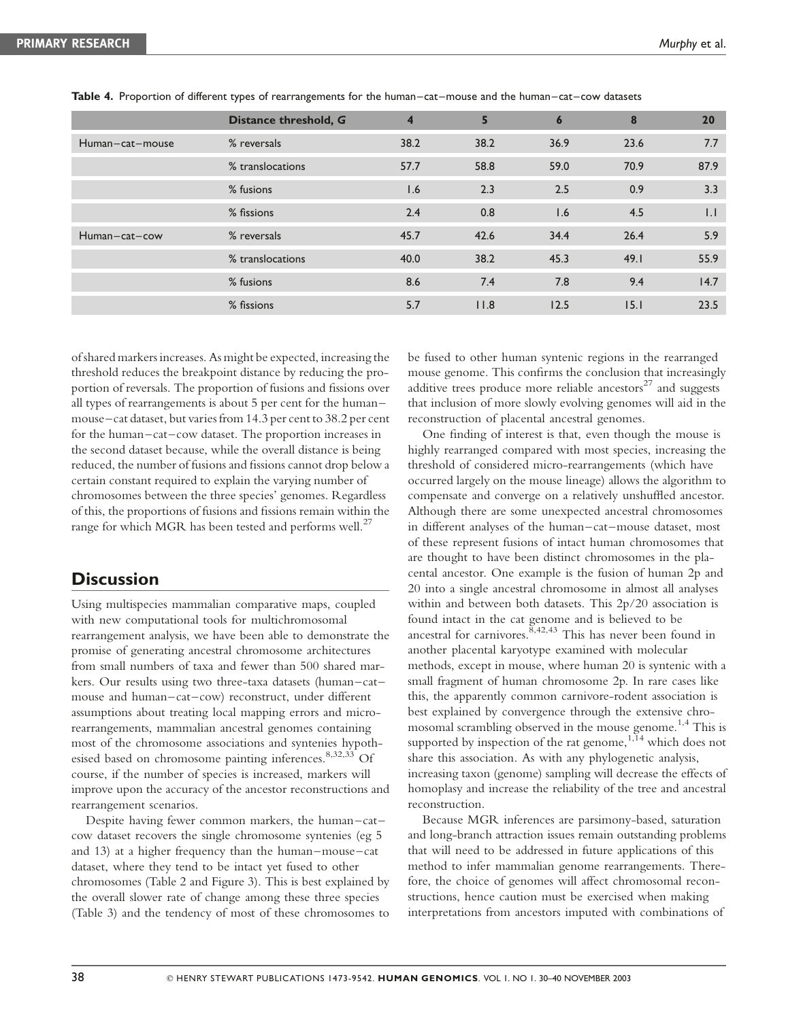|                 | Distance threshold, G | $\overline{\mathbf{4}}$ | 5    | $\boldsymbol{6}$ | 8    | 20          |
|-----------------|-----------------------|-------------------------|------|------------------|------|-------------|
| Human-cat-mouse | % reversals           | 38.2                    | 38.2 | 36.9             | 23.6 | 7.7         |
|                 | % translocations      | 57.7                    | 58.8 | 59.0             | 70.9 | 87.9        |
|                 | % fusions             | 1.6                     | 2.3  | 2.5              | 0.9  | 3.3         |
|                 | % fissions            | 2.4                     | 0.8  | 1.6              | 4.5  | $  \cdot  $ |
| $Human-cat-cow$ | % reversals           | 45.7                    | 42.6 | 34.4             | 26.4 | 5.9         |
|                 | % translocations      | 40.0                    | 38.2 | 45.3             | 49.1 | 55.9        |
|                 | % fusions             | 8.6                     | 7.4  | 7.8              | 9.4  | 14.7        |
|                 | % fissions            | 5.7                     | 11.8 | 12.5             | 15.1 | 23.5        |

Table 4. Proportion of different types of rearrangements for the human–cat–mouse and the human–cat–cow datasets

of shared markers increases. As might be expected, increasing the threshold reduces the breakpoint distance by reducing the proportion of reversals. The proportion of fusions and fissions over all types of rearrangements is about 5 per cent for the human– mouse–cat dataset, but varies from 14.3 per cent to 38.2 per cent for the human–cat–cow dataset. The proportion increases in the second dataset because, while the overall distance is being reduced, the number of fusions and fissions cannot drop below a certain constant required to explain the varying number of chromosomes between the three species' genomes. Regardless of this, the proportions of fusions and fissions remain within the range for which MGR has been tested and performs well. $^{27}$ 

## **Discussion**

Using multispecies mammalian comparative maps, coupled with new computational tools for multichromosomal rearrangement analysis, we have been able to demonstrate the promise of generating ancestral chromosome architectures from small numbers of taxa and fewer than 500 shared markers. Our results using two three-taxa datasets (human–cat– mouse and human–cat–cow) reconstruct, under different assumptions about treating local mapping errors and microrearrangements, mammalian ancestral genomes containing most of the chromosome associations and syntenies hypothesised based on chromosome painting inferences.<sup>8,32,33</sup> Of course, if the number of species is increased, markers will improve upon the accuracy of the ancestor reconstructions and rearrangement scenarios.

Despite having fewer common markers, the human–cat– cow dataset recovers the single chromosome syntenies (eg 5 and 13) at a higher frequency than the human–mouse–cat dataset, where they tend to be intact yet fused to other chromosomes (Table 2 and Figure 3). This is best explained by the overall slower rate of change among these three species (Table 3) and the tendency of most of these chromosomes to be fused to other human syntenic regions in the rearranged mouse genome. This confirms the conclusion that increasingly additive trees produce more reliable ancestors $27$  and suggests that inclusion of more slowly evolving genomes will aid in the reconstruction of placental ancestral genomes.

One finding of interest is that, even though the mouse is highly rearranged compared with most species, increasing the threshold of considered micro-rearrangements (which have occurred largely on the mouse lineage) allows the algorithm to compensate and converge on a relatively unshuffled ancestor. Although there are some unexpected ancestral chromosomes in different analyses of the human–cat–mouse dataset, most of these represent fusions of intact human chromosomes that are thought to have been distinct chromosomes in the placental ancestor. One example is the fusion of human 2p and 20 into a single ancestral chromosome in almost all analyses within and between both datasets. This 2p/20 association is found intact in the cat genome and is believed to be ancestral for carnivores.  $8,42,43$  This has never been found in another placental karyotype examined with molecular methods, except in mouse, where human 20 is syntenic with a small fragment of human chromosome 2p. In rare cases like this, the apparently common carnivore-rodent association is best explained by convergence through the extensive chromosomal scrambling observed in the mouse genome.<sup>1,4</sup> This is supported by inspection of the rat genome,  $1,14$  which does not share this association. As with any phylogenetic analysis, increasing taxon (genome) sampling will decrease the effects of homoplasy and increase the reliability of the tree and ancestral reconstruction.

Because MGR inferences are parsimony-based, saturation and long-branch attraction issues remain outstanding problems that will need to be addressed in future applications of this method to infer mammalian genome rearrangements. Therefore, the choice of genomes will affect chromosomal reconstructions, hence caution must be exercised when making interpretations from ancestors imputed with combinations of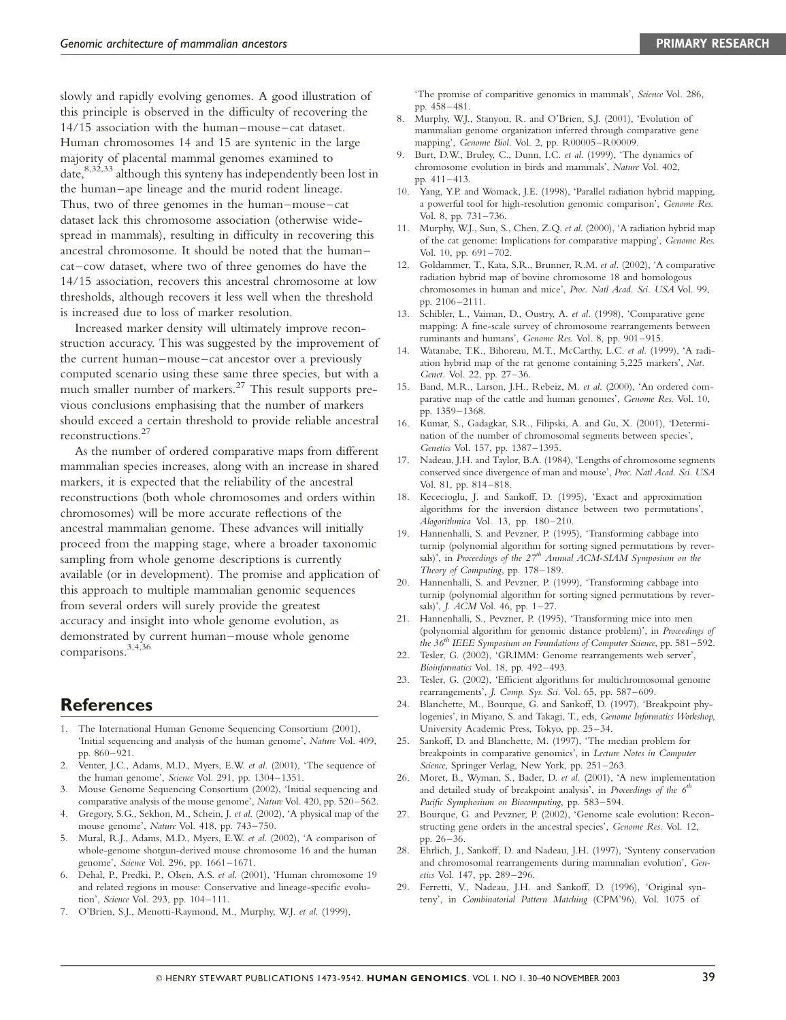slowly and rapidly evolving genomes. A good illustration of this principle is observed in the difficulty of recovering the 14/15 association with the human–mouse–cat dataset. Human chromosomes 14 and 15 are syntenic in the large majority of placental mammal genomes examined to date,<sup>8,32,33</sup> although this synteny has independently been lost in the human–ape lineage and the murid rodent lineage. Thus, two of three genomes in the human–mouse–cat dataset lack this chromosome association (otherwise widespread in mammals), resulting in difficulty in recovering this ancestral chromosome. It should be noted that the human– cat–cow dataset, where two of three genomes do have the 14/15 association, recovers this ancestral chromosome at low thresholds, although recovers it less well when the threshold is increased due to loss of marker resolution.

Increased marker density will ultimately improve reconstruction accuracy. This was suggested by the improvement of the current human–mouse–cat ancestor over a previously computed scenario using these same three species, but with a much smaller number of markers.<sup>27</sup> This result supports previous conclusions emphasising that the number of markers should exceed a certain threshold to provide reliable ancestral reconstructions.<sup>27</sup>

As the number of ordered comparative maps from different mammalian species increases, along with an increase in shared markers, it is expected that the reliability of the ancestral reconstructions (both whole chromosomes and orders within chromosomes) will be more accurate reflections of the ancestral mammalian genome. These advances will initially proceed from the mapping stage, where a broader taxonomic sampling from whole genome descriptions is currently available (or in development). The promise and application of this approach to multiple mammalian genomic sequences from several orders will surely provide the greatest accuracy and insight into whole genome evolution, as demonstrated by current human–mouse whole genome comparisons.3,4,36

## References

- 1. The International Human Genome Sequencing Consortium (2001), 'Initial sequencing and analysis of the human genome', Nature Vol. 409, pp. 860–921.
- Venter, J.C., Adams, M.D., Myers, E.W. et al. (2001), 'The sequence of the human genome', Science Vol. 291, pp. 1304–1351.
- 3. Mouse Genome Sequencing Consortium (2002), 'Initial sequencing and comparative analysis of the mouse genome', Nature Vol. 420, pp. 520–562.
- 4. Gregory, S.G., Sekhon, M., Schein, J. et al. (2002), 'A physical map of the mouse genome', Nature Vol. 418, pp. 743–750.
- 5. Mural, R.J., Adams, M.D., Myers, E.W. et al. (2002), 'A comparison of whole-genome shotgun-derived mouse chromosome 16 and the human genome', Science Vol. 296, pp. 1661-1671.
- 6. Dehal, P., Predki, P., Olsen, A.S. et al. (2001), 'Human chromosome 19 and related regions in mouse: Conservative and lineage-specific evolution', Science Vol. 293, pp. 104–111.
- 7. O'Brien, S.J., Menotti-Raymond, M., Murphy, W.J. et al. (1999),

'The promise of comparitive genomics in mammals', Science Vol. 286, pp. 458–481.

- 8. Murphy, W.J., Stanyon, R. and O'Brien, S.J. (2001), 'Evolution of mammalian genome organization inferred through comparative gene mapping', Genome Biol. Vol. 2, pp. R00005–R00009.
- Burt, D.W., Bruley, C., Dunn, I.C. et al. (1999), 'The dynamics of chromosome evolution in birds and mammals', Nature Vol. 402, pp. 411–413.
- 10. Yang, Y.P. and Womack, J.E. (1998), 'Parallel radiation hybrid mapping, a powerful tool for high-resolution genomic comparison', Genome Res. Vol. 8, pp. 731–736.
- 11. Murphy, W.J., Sun, S., Chen, Z.Q. et al. (2000), 'A radiation hybrid map of the cat genome: Implications for comparative mapping', Genome Res. Vol. 10, pp. 691–702.
- 12. Goldammer, T., Kata, S.R., Brunner, R.M. et al. (2002), 'A comparative radiation hybrid map of bovine chromosome 18 and homologous chromosomes in human and mice', Proc. Natl Acad. Sci. USA Vol. 99, pp. 2106–2111.
- 13. Schibler, L., Vaiman, D., Oustry, A. et al. (1998), 'Comparative gene mapping: A fine-scale survey of chromosome rearrangements between ruminants and humans', Genome Res. Vol. 8, pp. 901–915.
- 14. Watanabe, T.K., Bihoreau, M.T., McCarthy, L.C. et al. (1999), 'A radiation hybrid map of the rat genome containing 5,225 markers', Nat. Genet. Vol. 22, pp. 27–36.
- Band, M.R., Larson, J.H., Rebeiz, M. et al. (2000), 'An ordered comparative map of the cattle and human genomes', Genome Res. Vol. 10, pp. 1359–1368.
- 16. Kumar, S., Gadagkar, S.R., Filipski, A. and Gu, X. (2001), 'Determination of the number of chromosomal segments between species', Genetics Vol. 157, pp. 1387–1395.
- 17. Nadeau, J.H. and Taylor, B.A. (1984), 'Lengths of chromosome segments conserved since divergence of man and mouse', Proc. Natl Acad. Sci. USA Vol. 81, pp. 814–818.
- 18. Kececioglu, J. and Sankoff, D. (1995), 'Exact and approximation algorithms for the inversion distance between two permutations', Alogorithmica Vol. 13, pp. 180–210.
- 19. Hannenhalli, S. and Pevzner, P. (1995), 'Transforming cabbage into turnip (polynomial algorithm for sorting signed permutations by reversals)', in Proceedings of the  $27<sup>th</sup>$  Annual ACM-SIAM Symposium on the Theory of Computing, pp. 178–189.
- 20. Hannenhalli, S. and Pevzner, P. (1999), 'Transforming cabbage into turnip (polynomial algorithm for sorting signed permutations by reversals)', J. ACM Vol. 46, pp. 1–27.
- 21. Hannenhalli, S., Pevzner, P. (1995), 'Transforming mice into men (polynomial algorithm for genomic distance problem)', in Proceedings of the  $36<sup>th</sup>$  IEEE Symposium on Foundations of Computer Science, pp. 581–592.
- 22. Tesler, G. (2002), 'GRIMM: Genome rearrangements web server', Bioinformatics Vol. 18, pp. 492–493.
- 23. Tesler, G. (2002), 'Efficient algorithms for multichromosomal genome rearrangements', J. Comp. Sys. Sci. Vol. 65, pp. 587–609.
- 24. Blanchette, M., Bourque, G. and Sankoff, D. (1997), 'Breakpoint phylogenies', in Miyano, S. and Takagi, T., eds, Genome Informatics Workshop, University Academic Press, Tokyo, pp. 25–34.
- 25. Sankoff, D. and Blanchette, M. (1997), 'The median problem for breakpoints in comparative genomics', in Lecture Notes in Computer Science, Springer Verlag, New York, pp. 251–263.
- 26. Moret, B., Wyman, S., Bader, D. et al. (2001), 'A new implementation and detailed study of breakpoint analysis', in Proceedings of the  $6^{th}$ Pacific Symphosium on Biocomputing, pp. 583–594.
- 27. Bourque, G. and Pevzner, P. (2002), 'Genome scale evolution: Reconstructing gene orders in the ancestral species', Genome Res. Vol. 12, pp. 26–36.
- 28. Ehrlich, J., Sankoff, D. and Nadeau, J.H. (1997), 'Synteny conservation and chromosomal rearrangements during mammalian evolution', Genetics Vol. 147, pp. 289–296.
- 29. Ferretti, V., Nadeau, J.H. and Sankoff, D. (1996), 'Original synteny', in Combinatorial Pattern Matching (CPM'96), Vol. 1075 of